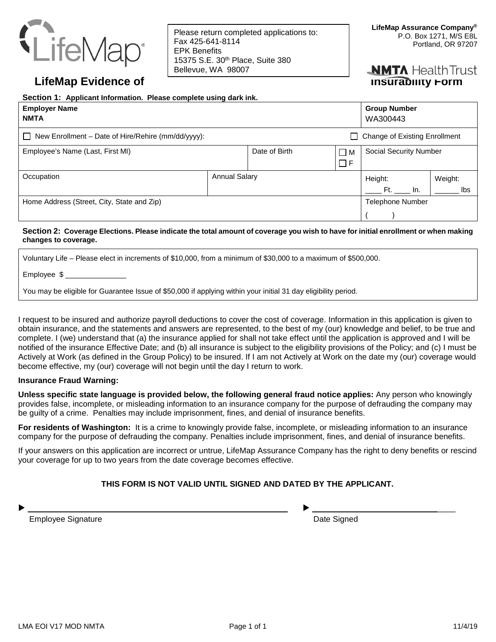

Please return completed applications to: Fax 425-641-8114 EPK Benefits 15375 S.E. 30th Place, Suite 380 Bellevue, WA 98007

# **NMTA** Health Trust

## **LifeMap Evidence of** Insurability Form

| Section 1: Applicant Information. Please complete using dark ink.                                     |                      |               |                    |                                 |                |  |
|-------------------------------------------------------------------------------------------------------|----------------------|---------------|--------------------|---------------------------------|----------------|--|
| <b>Employer Name</b><br><b>NMTA</b>                                                                   |                      |               |                    | <b>Group Number</b><br>WA300443 |                |  |
| <b>Change of Existing Enrollment</b><br>New Enrollment – Date of Hire/Rehire (mm/dd/yyyy):<br>$\perp$ |                      |               |                    |                                 |                |  |
| Employee's Name (Last, First MI)                                                                      |                      | Date of Birth | M<br>$\Box$<br>l F | <b>Social Security Number</b>   |                |  |
| Occupation                                                                                            | <b>Annual Salary</b> |               |                    | Height:<br>In.<br>Ft.           | Weight:<br>Ibs |  |
| Home Address (Street, City, State and Zip)                                                            |                      |               |                    | <b>Telephone Number</b>         |                |  |

## **Section 2: Coverage Elections. Please indicate the total amount of coverage you wish to have for initial enrollment or when making changes to coverage.**

Voluntary Life – Please elect in increments of \$10,000, from a minimum of \$30,000 to a maximum of \$500,000.

Employee \$

You may be eligible for Guarantee Issue of \$50,000 if applying within your initial 31 day eligibility period.

I request to be insured and authorize payroll deductions to cover the cost of coverage. Information in this application is given to obtain insurance, and the statements and answers are represented, to the best of my (our) knowledge and belief, to be true and complete. I (we) understand that (a) the insurance applied for shall not take effect until the application is approved and I will be notified of the insurance Effective Date; and (b) all insurance is subject to the eligibility provisions of the Policy; and (c) I must be Actively at Work (as defined in the Group Policy) to be insured. If I am not Actively at Work on the date my (our) coverage would become effective, my (our) coverage will not begin until the day I return to work.

## **Insurance Fraud Warning:**

**Unless specific state language is provided below, the following general fraud notice applies:** Any person who knowingly provides false, incomplete, or misleading information to an insurance company for the purpose of defrauding the company may be guilty of a crime. Penalties may include imprisonment, fines, and denial of insurance benefits.

**For residents of Washington:** It is a crime to knowingly provide false, incomplete, or misleading information to an insurance company for the purpose of defrauding the company. Penalties include imprisonment, fines, and denial of insurance benefits.

If your answers on this application are incorrect or untrue, LifeMap Assurance Company has the right to deny benefits or rescind your coverage for up to two years from the date coverage becomes effective.

## **THIS FORM IS NOT VALID UNTIL SIGNED AND DATED BY THE APPLICANT.**

\_\_\_ \_\_\_\_\_\_\_\_\_\_\_\_\_\_\_\_\_\_\_\_\_\_\_\_\_\_\_ \_\_\_\_

Employee Signature **Employee** Signature **Date Signed**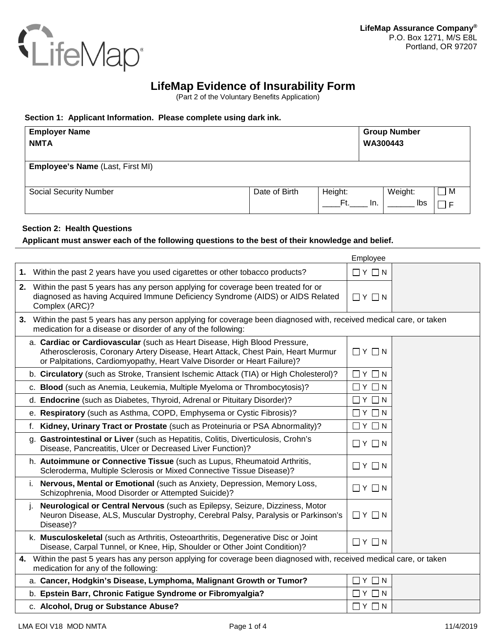

# **LifeMap Evidence of Insurability Form**

(Part 2 of the Voluntary Benefits Application)

## **Section 1: Applicant Information. Please complete using dark ink.**

| <b>Employer Name</b>                    |               |         |          | <b>Group Number</b> |   |  |
|-----------------------------------------|---------------|---------|----------|---------------------|---|--|
| <b>NMTA</b>                             |               |         | WA300443 |                     |   |  |
|                                         |               |         |          |                     |   |  |
| <b>Employee's Name (Last, First MI)</b> |               |         |          |                     |   |  |
|                                         |               |         |          |                     |   |  |
| <b>Social Security Number</b>           | Date of Birth | Height: |          | Weight:             | M |  |
|                                         |               | Ft.     | In.      | lbs                 |   |  |

## **Section 2: Health Questions**

## **Applicant must answer each of the following questions to the best of their knowledge and belief.**

|                                                                                                                                                                                                                                           | Employee              |  |  |  |
|-------------------------------------------------------------------------------------------------------------------------------------------------------------------------------------------------------------------------------------------|-----------------------|--|--|--|
| 1. Within the past 2 years have you used cigarettes or other tobacco products?                                                                                                                                                            | $\Box$ $Y$ $\Box$ $N$ |  |  |  |
| 2. Within the past 5 years has any person applying for coverage been treated for or<br>diagnosed as having Acquired Immune Deficiency Syndrome (AIDS) or AIDS Related<br>Complex (ARC)?                                                   | $\Box$ $Y$ $\Box$ $N$ |  |  |  |
| 3. Within the past 5 years has any person applying for coverage been diagnosed with, received medical care, or taken<br>medication for a disease or disorder of any of the following:                                                     |                       |  |  |  |
| a. Cardiac or Cardiovascular (such as Heart Disease, High Blood Pressure,<br>Atherosclerosis, Coronary Artery Disease, Heart Attack, Chest Pain, Heart Murmur<br>or Palpitations, Cardiomyopathy, Heart Valve Disorder or Heart Failure)? | $\Box$ $Y$ $\Box$ $N$ |  |  |  |
| b. Circulatory (such as Stroke, Transient Ischemic Attack (TIA) or High Cholesterol)?                                                                                                                                                     | $\Box$ $Y$ $\Box$ $N$ |  |  |  |
| c. Blood (such as Anemia, Leukemia, Multiple Myeloma or Thrombocytosis)?                                                                                                                                                                  | $\Box$ $Y$ $\Box$ $N$ |  |  |  |
| d. Endocrine (such as Diabetes, Thyroid, Adrenal or Pituitary Disorder)?                                                                                                                                                                  | $\Box$ $Y$ $\Box$ $N$ |  |  |  |
| e. Respiratory (such as Asthma, COPD, Emphysema or Cystic Fibrosis)?                                                                                                                                                                      | $\Box$ $Y$ $\Box$ $N$ |  |  |  |
| f. Kidney, Urinary Tract or Prostate (such as Proteinuria or PSA Abnormality)?                                                                                                                                                            | $\Box$ $Y$ $\Box$ $N$ |  |  |  |
| g. Gastrointestinal or Liver (such as Hepatitis, Colitis, Diverticulosis, Crohn's<br>Disease, Pancreatitis, Ulcer or Decreased Liver Function)?                                                                                           | $\Box$ $Y$ $\Box$ $N$ |  |  |  |
| h. Autoimmune or Connective Tissue (such as Lupus, Rheumatoid Arthritis,<br>Scleroderma, Multiple Sclerosis or Mixed Connective Tissue Disease)?                                                                                          | $\Box$ $Y$ $\Box$ $N$ |  |  |  |
| i. Nervous, Mental or Emotional (such as Anxiety, Depression, Memory Loss,<br>Schizophrenia, Mood Disorder or Attempted Suicide)?                                                                                                         | $\Box$ $Y$ $\Box$ $N$ |  |  |  |
| Neurological or Central Nervous (such as Epilepsy, Seizure, Dizziness, Motor<br>i.<br>Neuron Disease, ALS, Muscular Dystrophy, Cerebral Palsy, Paralysis or Parkinson's<br>Disease)?                                                      | $\Box$ $Y$ $\Box$ $N$ |  |  |  |
| k. Musculoskeletal (such as Arthritis, Osteoarthritis, Degenerative Disc or Joint<br>Disease, Carpal Tunnel, or Knee, Hip, Shoulder or Other Joint Condition)?                                                                            | $\Box$ $Y$ $\Box$ $N$ |  |  |  |
| 4. Within the past 5 years has any person applying for coverage been diagnosed with, received medical care, or taken<br>medication for any of the following:                                                                              |                       |  |  |  |
| a. Cancer, Hodgkin's Disease, Lymphoma, Malignant Growth or Tumor?                                                                                                                                                                        | $\Box$ $Y$ $\Box$ $N$ |  |  |  |
| b. Epstein Barr, Chronic Fatigue Syndrome or Fibromyalgia?                                                                                                                                                                                | $\Box$ $Y$ $\Box$ $N$ |  |  |  |
| c. Alcohol, Drug or Substance Abuse?                                                                                                                                                                                                      | $\Box$ $Y$ $\Box$ $N$ |  |  |  |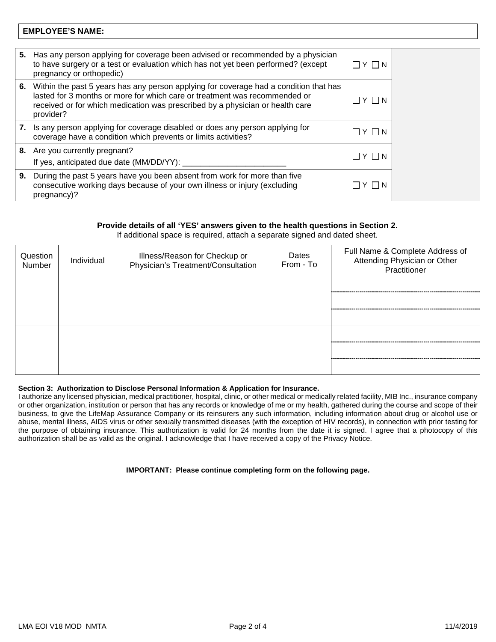## **EMPLOYEE'S NAME:**

| 5. | Has any person applying for coverage been advised or recommended by a physician<br>to have surgery or a test or evaluation which has not yet been performed? (except<br>pregnancy or orthopedic)                                                                  | $\Box$ y $\Box$ n     |  |
|----|-------------------------------------------------------------------------------------------------------------------------------------------------------------------------------------------------------------------------------------------------------------------|-----------------------|--|
| 6. | Within the past 5 years has any person applying for coverage had a condition that has<br>lasted for 3 months or more for which care or treatment was recommended or<br>received or for which medication was prescribed by a physician or health care<br>provider? | $ Y $ $ N $           |  |
| 7. | Is any person applying for coverage disabled or does any person applying for<br>coverage have a condition which prevents or limits activities?                                                                                                                    | $ Y $ $ N$            |  |
|    | 8. Are you currently pregnant?<br>If yes, anticipated due date (MM/DD/YY):                                                                                                                                                                                        | $\sqcap$ Y $\sqcap$ N |  |
| 9. | During the past 5 years have you been absent from work for more than five<br>consecutive working days because of your own illness or injury (excluding<br>pregnancy)?                                                                                             | YIN                   |  |

## **Provide details of all 'YES' answers given to the health questions in Section 2.**

If additional space is required, attach a separate signed and dated sheet.

| Question<br>Number | Individual | Illness/Reason for Checkup or<br>Physician's Treatment/Consultation | Dates<br>From - To | Full Name & Complete Address of<br>Attending Physician or Other<br>Practitioner |
|--------------------|------------|---------------------------------------------------------------------|--------------------|---------------------------------------------------------------------------------|
|                    |            |                                                                     |                    |                                                                                 |
|                    |            |                                                                     |                    |                                                                                 |
|                    |            |                                                                     |                    |                                                                                 |
|                    |            |                                                                     |                    |                                                                                 |

## **Section 3: Authorization to Disclose Personal Information & Application for Insurance.**

I authorize any licensed physician, medical practitioner, hospital, clinic, or other medical or medically related facility, MIB Inc., insurance company or other organization, institution or person that has any records or knowledge of me or my health, gathered during the course and scope of their business, to give the LifeMap Assurance Company or its reinsurers any such information, including information about drug or alcohol use or abuse, mental illness, AIDS virus or other sexually transmitted diseases (with the exception of HIV records), in connection with prior testing for the purpose of obtaining insurance. This authorization is valid for 24 months from the date it is signed. I agree that a photocopy of this authorization shall be as valid as the original. I acknowledge that I have received a copy of the Privacy Notice.

## **IMPORTANT: Please continue completing form on the following page.**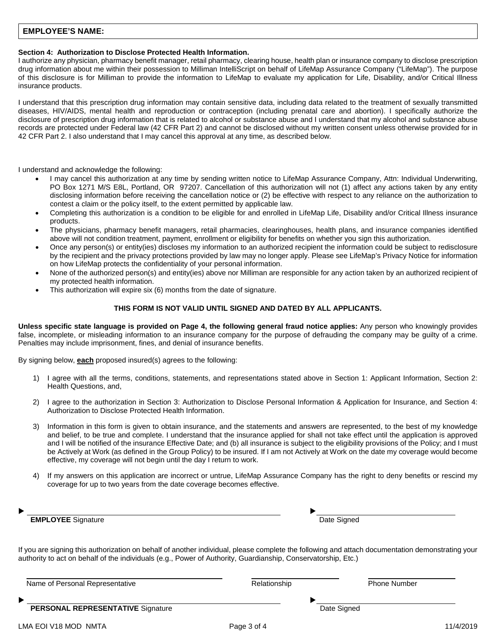## **EMPLOYEE'S NAME:**

## **Section 4: Authorization to Disclose Protected Health Information.**

I authorize any physician, pharmacy benefit manager, retail pharmacy, clearing house, health plan or insurance company to disclose prescription drug information about me within their possession to Milliman IntelliScript on behalf of LifeMap Assurance Company ("LifeMap"). The purpose of this disclosure is for Milliman to provide the information to LifeMap to evaluate my application for Life, Disability, and/or Critical Illness insurance products.

I understand that this prescription drug information may contain sensitive data, including data related to the treatment of sexually transmitted diseases, HIV/AIDS, mental health and reproduction or contraception (including prenatal care and abortion). I specifically authorize the disclosure of prescription drug information that is related to alcohol or substance abuse and I understand that my alcohol and substance abuse records are protected under Federal law (42 CFR Part 2) and cannot be disclosed without my written consent unless otherwise provided for in 42 CFR Part 2. I also understand that I may cancel this approval at any time, as described below.

I understand and acknowledge the following:

- I may cancel this authorization at any time by sending written notice to LifeMap Assurance Company, Attn: Individual Underwriting, PO Box 1271 M/S E8L, Portland, OR 97207. Cancellation of this authorization will not (1) affect any actions taken by any entity disclosing information before receiving the cancellation notice or (2) be effective with respect to any reliance on the authorization to contest a claim or the policy itself, to the extent permitted by applicable law.
- Completing this authorization is a condition to be eligible for and enrolled in LifeMap Life, Disability and/or Critical Illness insurance products.
- The physicians, pharmacy benefit managers, retail pharmacies, clearinghouses, health plans, and insurance companies identified above will not condition treatment, payment, enrollment or eligibility for benefits on whether you sign this authorization.
- Once any person(s) or entity(ies) discloses my information to an authorized recipient the information could be subject to redisclosure by the recipient and the privacy protections provided by law may no longer apply. Please see LifeMap's Privacy Notice for information on how LifeMap protects the confidentiality of your personal information.
- None of the authorized person(s) and entity(ies) above nor Milliman are responsible for any action taken by an authorized recipient of my protected health information.
- This authorization will expire six (6) months from the date of signature.

#### **THIS FORM IS NOT VALID UNTIL SIGNED AND DATED BY ALL APPLICANTS.**

**Unless specific state language is provided on Page 4, the following general fraud notice applies:** Any person who knowingly provides false, incomplete, or misleading information to an insurance company for the purpose of defrauding the company may be guilty of a crime. Penalties may include imprisonment, fines, and denial of insurance benefits.

By signing below, **each** proposed insured(s) agrees to the following:

- 1) I agree with all the terms, conditions, statements, and representations stated above in Section 1: Applicant Information, Section 2: Health Questions, and,
- 2) I agree to the authorization in Section 3: Authorization to Disclose Personal Information & Application for Insurance, and Section 4: Authorization to Disclose Protected Health Information.
- 3) Information in this form is given to obtain insurance, and the statements and answers are represented, to the best of my knowledge and belief, to be true and complete. I understand that the insurance applied for shall not take effect until the application is approved and I will be notified of the insurance Effective Date; and (b) all insurance is subject to the eligibility provisions of the Policy; and I must be Actively at Work (as defined in the Group Policy) to be insured. If I am not Actively at Work on the date my coverage would become effective, my coverage will not begin until the day I return to work.
- 4) If my answers on this application are incorrect or untrue, LifeMap Assurance Company has the right to deny benefits or rescind my coverage for up to two years from the date coverage becomes effective.

**EMPLOYEE** Signature **CONSEX EMPLOYEE** Signature

If you are signing this authorization on behalf of another individual, please complete the following and attach documentation demonstrating your authority to act on behalf of the individuals (e.g., Power of Authority, Guardianship, Conservatorship, Etc.)

| Name of Personal Representative          | Relationship | <b>Phone Number</b> |
|------------------------------------------|--------------|---------------------|
| ►                                        |              |                     |
| <b>PERSONAL REPRESENTATIVE Signature</b> | Date Signed  |                     |